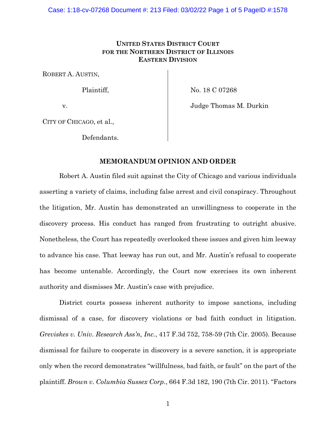# **UNITED STATES DISTRICT COURT FOR THE NORTHERN DISTRICT OF ILLINOIS EASTERN DIVISION**

ROBERT A. AUSTIN,

Plaintiff,

No. 18 C 07268

v.

Judge Thomas M. Durkin

CITY OF CHICAGO, et al.,

Defendants.

## **MEMORANDUM OPINION AND ORDER**

Robert A. Austin filed suit against the City of Chicago and various individuals asserting a variety of claims, including false arrest and civil conspiracy. Throughout the litigation, Mr. Austin has demonstrated an unwillingness to cooperate in the discovery process. His conduct has ranged from frustrating to outright abusive. Nonetheless, the Court has repeatedly overlooked these issues and given him leeway to advance his case. That leeway has run out, and Mr. Austin's refusal to cooperate has become untenable. Accordingly, the Court now exercises its own inherent authority and dismisses Mr. Austin's case with prejudice.

District courts possess inherent authority to impose sanctions, including dismissal of a case, for discovery violations or bad faith conduct in litigation. *Greviskes v. Univ. Research Ass'n, Inc.*, 417 F.3d 752, 758-59 (7th Cir. 2005). Because dismissal for failure to cooperate in discovery is a severe sanction, it is appropriate only when the record demonstrates "willfulness, bad faith, or fault" on the part of the plaintiff. *Brown v. Columbia Sussex Corp.*, 664 F.3d 182, 190 (7th Cir. 2011). "Factors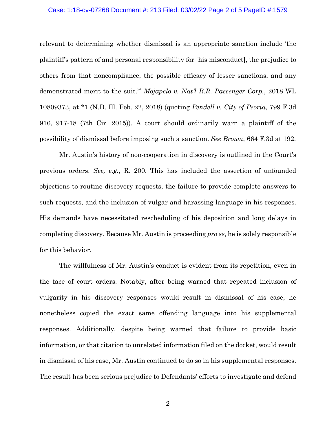#### Case: 1:18-cv-07268 Document #: 213 Filed: 03/02/22 Page 2 of 5 PageID #:1579

relevant to determining whether dismissal is an appropriate sanction include 'the plaintiff's pattern of and personal responsibility for [his misconduct], the prejudice to others from that noncompliance, the possible efficacy of lesser sanctions, and any demonstrated merit to the suit.'" *Mojapelo v. Nat'l R.R. Passenger Corp.*, 2018 WL 10809373, at \*1 (N.D. Ill. Feb. 22, 2018) (quoting *Pendell v. City of Peoria*, 799 F.3d 916, 917-18 (7th Cir. 2015)). A court should ordinarily warn a plaintiff of the possibility of dismissal before imposing such a sanction. *See Brown*, 664 F.3d at 192.

Mr. Austin's history of non-cooperation in discovery is outlined in the Court's previous orders. *See, e.g.*, R. 200. This has included the assertion of unfounded objections to routine discovery requests, the failure to provide complete answers to such requests, and the inclusion of vulgar and harassing language in his responses. His demands have necessitated rescheduling of his deposition and long delays in completing discovery. Because Mr. Austin is proceeding *pro se*, he is solely responsible for this behavior.

The willfulness of Mr. Austin's conduct is evident from its repetition, even in the face of court orders. Notably, after being warned that repeated inclusion of vulgarity in his discovery responses would result in dismissal of his case, he nonetheless copied the exact same offending language into his supplemental responses. Additionally, despite being warned that failure to provide basic information, or that citation to unrelated information filed on the docket, would result in dismissal of his case, Mr. Austin continued to do so in his supplemental responses. The result has been serious prejudice to Defendants' efforts to investigate and defend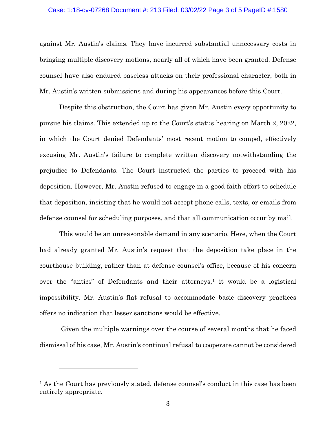#### Case: 1:18-cv-07268 Document #: 213 Filed: 03/02/22 Page 3 of 5 PageID #:1580

against Mr. Austin's claims. They have incurred substantial unnecessary costs in bringing multiple discovery motions, nearly all of which have been granted. Defense counsel have also endured baseless attacks on their professional character, both in Mr. Austin's written submissions and during his appearances before this Court.

Despite this obstruction, the Court has given Mr. Austin every opportunity to pursue his claims. This extended up to the Court's status hearing on March 2, 2022, in which the Court denied Defendants' most recent motion to compel, effectively excusing Mr. Austin's failure to complete written discovery notwithstanding the prejudice to Defendants. The Court instructed the parties to proceed with his deposition. However, Mr. Austin refused to engage in a good faith effort to schedule that deposition, insisting that he would not accept phone calls, texts, or emails from defense counsel for scheduling purposes, and that all communication occur by mail.

This would be an unreasonable demand in any scenario. Here, when the Court had already granted Mr. Austin's request that the deposition take place in the courthouse building, rather than at defense counsel's office, because of his concern over the "antics" of Defendants and their attorneys, $\frac{1}{1}$  it would be a logistical impossibility. Mr. Austin's flat refusal to accommodate basic discovery practices offers no indication that lesser sanctions would be effective.

Given the multiple warnings over the course of several months that he faced dismissal of his case, Mr. Austin's continual refusal to cooperate cannot be considered

<sup>1</sup> As the Court has previously stated, defense counsel's conduct in this case has been entirely appropriate.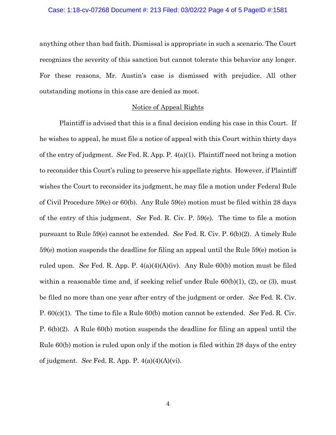anything other than bad faith. Dismissal is appropriate in such a scenario. The Court recognizes the severity of this sanction but cannot tolerate this behavior any longer. For these reasons, Mr. Austin's case is dismissed with prejudice. All other outstanding motions in this case are denied as moot.

### Notice of Appeal Rights

Plaintiff is advised that this is a final decision ending his case in this Court. If he wishes to appeal, he must file a notice of appeal with this Court within thirty days of the entry of judgment. *See* Fed. R. App. P. 4(a)(1). Plaintiff need not bring a motion to reconsider this Court's ruling to preserve his appellate rights. However, if Plaintiff wishes the Court to reconsider its judgment, he may file a motion under Federal Rule of Civil Procedure 59(e) or 60(b). Any Rule 59(e) motion must be filed within 28 days of the entry of this judgment. *See* Fed. R. Civ. P. 59(e). The time to file a motion pursuant to Rule 59(e) cannot be extended. *See* Fed. R. Civ. P. 6(b)(2). A timely Rule 59(e) motion suspends the deadline for filing an appeal until the Rule 59(e) motion is ruled upon. *See* Fed. R. App. P. 4(a)(4)(A)(iv). Any Rule 60(b) motion must be filed within a reasonable time and, if seeking relief under Rule  $60(b)(1)$ ,  $(2)$ , or  $(3)$ , must be filed no more than one year after entry of the judgment or order. *See* Fed. R. Civ. P. 60(c)(1). The time to file a Rule 60(b) motion cannot be extended. *See* Fed. R. Civ. P. 6(b)(2). A Rule 60(b) motion suspends the deadline for filing an appeal until the Rule 60(b) motion is ruled upon only if the motion is filed within 28 days of the entry of judgment. *See* Fed. R. App. P. 4(a)(4)(A)(vi).